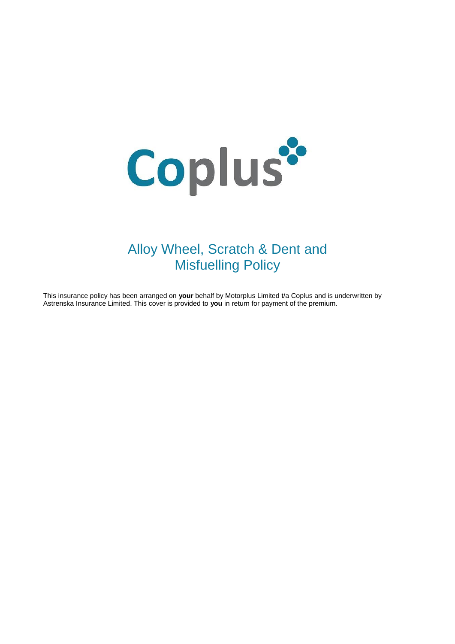

# Alloy Wheel, Scratch & Dent and Misfuelling Policy

This insurance policy has been arranged on **your** behalf by Motorplus Limited t/a Coplus and is underwritten by Astrenska Insurance Limited. This cover is provided to **you** in return for payment of the premium.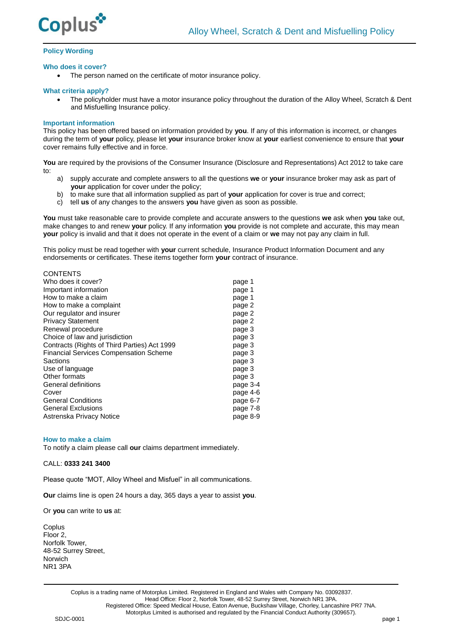

# **Policy Wording**

#### **Who does it cover?**

The person named on the certificate of motor insurance policy.

#### **What criteria apply?**

 The policyholder must have a motor insurance policy throughout the duration of the Alloy Wheel, Scratch & Dent and Misfuelling Insurance policy.

#### **Important information**

 $C$ 

This policy has been offered based on information provided by **you**. If any of this information is incorrect, or changes during the term of **your** policy, please let **your** insurance broker know at **your** earliest convenience to ensure that **your** cover remains fully effective and in force.

You are required by the provisions of the Consumer Insurance (Disclosure and Representations) Act 2012 to take care to:

- a) supply accurate and complete answers to all the questions **we** or **your** insurance broker may ask as part of **your** application for cover under the policy;
- b) to make sure that all information supplied as part of **your** application for cover is true and correct;
- c) tell **us** of any changes to the answers **you** have given as soon as possible.

**You** must take reasonable care to provide complete and accurate answers to the questions **we** ask when **you** take out, make changes to and renew **your** policy. If any information **you** provide is not complete and accurate, this may mean **your** policy is invalid and that it does not operate in the event of a claim or **we** may not pay any claim in full.

This policy must be read together with **your** current schedule, Insurance Product Information Document and any endorsements or certificates. These items together form **your** contract of insurance.

| <u>UUN EN IS</u>                              |          |
|-----------------------------------------------|----------|
| Who does it cover?                            | page 1   |
| Important information                         | page 1   |
| How to make a claim                           | page 1   |
| How to make a complaint                       | page 2   |
| Our regulator and insurer                     | page 2   |
| <b>Privacy Statement</b>                      | page 2   |
| Renewal procedure                             | page 3   |
| Choice of law and jurisdiction                | page 3   |
| Contracts (Rights of Third Parties) Act 1999  | page 3   |
| <b>Financial Services Compensation Scheme</b> | page 3   |
| Sactions                                      | page 3   |
| Use of language                               | page 3   |
| Other formats                                 | page 3   |
| General definitions                           | page 3-4 |
| Cover                                         | page 4-6 |
| <b>General Conditions</b>                     | page 6-7 |
| <b>General Exclusions</b>                     | page 7-8 |
| Astrenska Privacy Notice                      | page 8-9 |
|                                               |          |

#### **How to make a claim**

To notify a claim please call **our** claims department immediately.

# CALL: **0333 241 3400**

Please quote "MOT, Alloy Wheel and Misfuel" in all communications.

**Our** claims line is open 24 hours a day, 365 days a year to assist **you**.

Or **you** can write to **us** at:

**Coplus** Floor 2, Norfolk Tower, 48-52 Surrey Street, Norwich NR1 3PA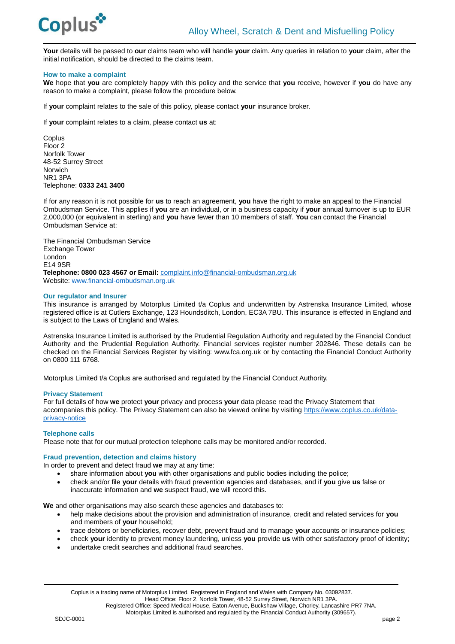

**Your** details will be passed to **our** claims team who will handle **your** claim. Any queries in relation to **your** claim, after the initial notification, should be directed to the claims team.

# **How to make a complaint**

**We** hope that **you** are completely happy with this policy and the service that **you** receive, however if **you** do have any reason to make a complaint, please follow the procedure below.

If **your** complaint relates to the sale of this policy, please contact **your** insurance broker.

If **your** complaint relates to a claim, please contact **us** at:

**Coplus** Floor 2 Norfolk Tower 48-52 Surrey Street Norwich NR1 3PA Telephone: **0333 241 3400**

If for any reason it is not possible for **us** to reach an agreement, **you** have the right to make an appeal to the Financial Ombudsman Service. This applies if **you** are an individual, or in a business capacity if **your** annual turnover is up to EUR 2,000,000 (or equivalent in sterling) and **you** have fewer than 10 members of staff. **You** can contact the Financial Ombudsman Service at:

The Financial Ombudsman Service Exchange Tower London E14 9SR **Telephone: 0800 023 4567 or Email:** [complaint.info@financial-ombudsman.org.uk](mailto:complaint.info@financial-ombudsman.org.uk) Website: [www.financial-ombudsman.org.uk](http://www.financial-ombudsman.org.uk/)

# **Our regulator and Insurer**

This insurance is arranged by Motorplus Limited t/a Coplus and underwritten by Astrenska Insurance Limited, whose registered office is at Cutlers Exchange, 123 Houndsditch, London, EC3A 7BU. This insurance is effected in England and is subject to the Laws of England and Wales.

Astrenska Insurance Limited is authorised by the Prudential Regulation Authority and regulated by the Financial Conduct Authority and the Prudential Regulation Authority. Financial services register number 202846. These details can be checked on the Financial Services Register by visiting: www.fca.org.uk or by contacting the Financial Conduct Authority on 0800 111 6768.

Motorplus Limited t/a Coplus are authorised and regulated by the Financial Conduct Authority.

#### **Privacy Statement**

For full details of how **we** protect **your** privacy and process **your** data please read the Privacy Statement that accompanies this policy. The Privacy Statement can also be viewed online by visiting [https://www.coplus.co.uk/data](https://www.coplus.co.uk/data-privacy-notice/)[privacy-notice](https://www.coplus.co.uk/data-privacy-notice/)

# **Telephone calls**

Please note that for our mutual protection telephone calls may be monitored and/or recorded.

# **Fraud prevention, detection and claims history**

In order to prevent and detect fraud **we** may at any time:

- share information about **you** with other organisations and public bodies including the police;
- check and/or file **your** details with fraud prevention agencies and databases, and if **you** give **us** false or inaccurate information and **we** suspect fraud, **we** will record this.

**We** and other organisations may also search these agencies and databases to:

- help make decisions about the provision and administration of insurance, credit and related services for **you** and members of **your** household;
- trace debtors or beneficiaries, recover debt, prevent fraud and to manage **your** accounts or insurance policies;
- check **your** identity to prevent money laundering, unless **you** provide **us** with other satisfactory proof of identity;
- undertake credit searches and additional fraud searches.

Motorplus Limited is authorised and regulated by the Financial Conduct Authority (309657).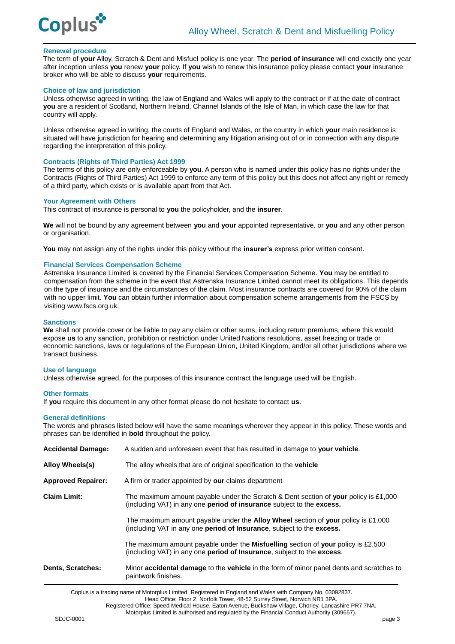

# **Renewal procedure**

The term of **your** Alloy, Scratch & Dent and Misfuel policy is one year. The **period of insurance** will end exactly one year after inception unless **you** renew **your** policy. If **you** wish to renew this insurance policy please contact **your** insurance broker who will be able to discuss **your** requirements.

#### **Choice of law and jurisdiction**

Unless otherwise agreed in writing, the law of England and Wales will apply to the contract or if at the date of contract **you** are a resident of Scotland, Northern Ireland, Channel Islands of the Isle of Man, in which case the law for that country will apply.

Unless otherwise agreed in writing, the courts of England and Wales, or the country in which **your** main residence is situated will have jurisdiction for hearing and determining any litigation arising out of or in connection with any dispute regarding the interpretation of this policy.

#### **Contracts (Rights of Third Parties) Act 1999**

The terms of this policy are only enforceable by **you**. A person who is named under this policy has no rights under the Contracts (Rights of Third Parties) Act 1999 to enforce any term of this policy but this does not affect any right or remedy of a third party, which exists or is available apart from that Act.

#### **Your Agreement with Others**

This contract of insurance is personal to **you** the policyholder, and the **insurer**.

**We** will not be bound by any agreement between **you** and **your** appointed representative, or **you** and any other person or organisation.

**You** may not assign any of the rights under this policy without the **insurer's** express prior written consent.

# **Financial Services Compensation Scheme**

Astrenska Insurance Limited is covered by the Financial Services Compensation Scheme. **You** may be entitled to compensation from the scheme in the event that Astrenska Insurance Limited cannot meet its obligations. This depends on the type of insurance and the circumstances of the claim. Most insurance contracts are covered for 90% of the claim with no upper limit. **You** can obtain further information about compensation scheme arrangements from the FSCS by visiting www.fscs.org.uk.

## **Sanctions**

**We** shall not provide cover or be liable to pay any claim or other sums, including return premiums, where this would expose **us** to any sanction, prohibition or restriction under United Nations resolutions, asset freezing or trade or economic sanctions, laws or regulations of the European Union, United Kingdom, and/or all other jurisdictions where we transact business.

# **Use of language**

Unless otherwise agreed, for the purposes of this insurance contract the language used will be English.

#### **Other formats**

If **you** require this document in any other format please do not hesitate to contact **us**.

#### **General definitions**

The words and phrases listed below will have the same meanings wherever they appear in this policy. These words and phrases can be identified in **bold** throughout the policy.

| Dents, Scratches:         | Minor <b>accidental damage</b> to the <b>vehicle</b> in the form of minor panel dents and scratches to<br>paintwork finishes.                                                             |
|---------------------------|-------------------------------------------------------------------------------------------------------------------------------------------------------------------------------------------|
|                           | The maximum amount payable under the <b>Misfuelling</b> section of <b>your</b> policy is £2,500<br>(including VAT) in any one <b>period of Insurance</b> , subject to the <b>excess</b> . |
|                           | The maximum amount payable under the <b>Alloy Wheel</b> section of your policy is £1,000<br>(including VAT in any one <b>period of Insurance</b> , subject to the <b>excess.</b>          |
| <b>Claim Limit:</b>       | The maximum amount payable under the Scratch & Dent section of your policy is £1,000<br>(including VAT) in any one <b>period of insurance</b> subject to the <b>excess.</b>               |
| <b>Approved Repairer:</b> | A firm or trader appointed by our claims department                                                                                                                                       |
| Alloy Wheels(s)           | The alloy wheels that are of original specification to the <b>vehicle</b>                                                                                                                 |
| <b>Accidental Damage:</b> | A sudden and unforeseen event that has resulted in damage to your vehicle.                                                                                                                |

Coplus is a trading name of Motorplus Limited. Registered in England and Wales with Company No. 03092837.

Head Office: Floor 2, Norfolk Tower, 48-52 Surrey Street, Norwich NR1 3PA.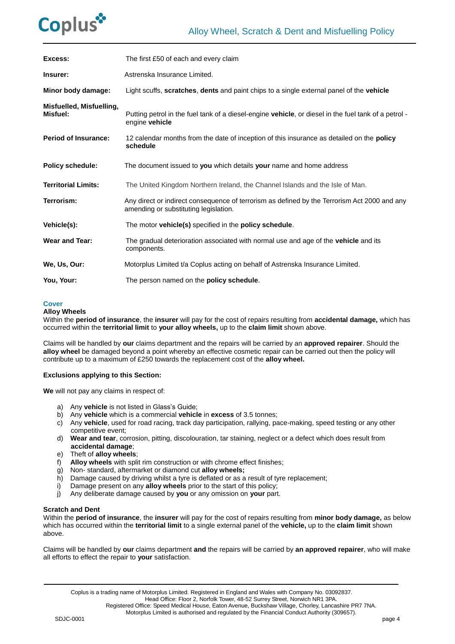

| Excess:                              | The first £50 of each and every claim                                                                                                 |
|--------------------------------------|---------------------------------------------------------------------------------------------------------------------------------------|
| Insurer:                             | Astrenska Insurance Limited.                                                                                                          |
| Minor body damage:                   | Light scuffs, scratches, dents and paint chips to a single external panel of the vehicle                                              |
| Misfuelled, Misfuelling,<br>Misfuel: | Putting petrol in the fuel tank of a diesel-engine vehicle, or diesel in the fuel tank of a petrol -<br>engine vehicle                |
| <b>Period of Insurance:</b>          | 12 calendar months from the date of inception of this insurance as detailed on the policy<br>schedule                                 |
| <b>Policy schedule:</b>              | The document issued to you which details your name and home address                                                                   |
| <b>Territorial Limits:</b>           | The United Kingdom Northern Ireland, the Channel Islands and the Isle of Man.                                                         |
| Terrorism:                           | Any direct or indirect consequence of terrorism as defined by the Terrorism Act 2000 and any<br>amending or substituting legislation. |
| Vehicle(s):                          | The motor vehicle(s) specified in the policy schedule.                                                                                |
| <b>Wear and Tear:</b>                | The gradual deterioration associated with normal use and age of the <b>vehicle</b> and its<br>components.                             |
| We, Us, Our:                         | Motorplus Limited t/a Coplus acting on behalf of Astrenska Insurance Limited.                                                         |
| You, Your:                           | The person named on the policy schedule.                                                                                              |

#### **Cover**

#### **Alloy Wheels**

Within the **period of insurance**, the **insurer** will pay for the cost of repairs resulting from **accidental damage,** which has occurred within the **territorial limit** to **your alloy wheels,** up to the **claim limit** shown above.

Claims will be handled by **our** claims department and the repairs will be carried by an **approved repairer**. Should the **alloy wheel** be damaged beyond a point whereby an effective cosmetic repair can be carried out then the policy will contribute up to a maximum of £250 towards the replacement cost of the **alloy wheel.**

# **Exclusions applying to this Section:**

**We** will not pay any claims in respect of:

- a) Any **vehicle** is not listed in Glass's Guide;
- b) Any **vehicle** which is a commercial **vehicle** in **excess** of 3.5 tonnes;
- c) Any **vehicle**, used for road racing, track day participation, rallying, pace-making, speed testing or any other competitive event;
- d) **Wear and tear**, corrosion, pitting, discolouration, tar staining, neglect or a defect which does result from **accidental damage**;
- e) Theft of **alloy wheels**;
- f) **Alloy wheels** with split rim construction or with chrome effect finishes;
- g) Non- standard, aftermarket or diamond cut **alloy wheels;**
- h) Damage caused by driving whilst a tyre is deflated or as a result of tyre replacement;
- i) Damage present on any **alloy wheels** prior to the start of this policy;
- j) Any deliberate damage caused by **you** or any omission on **your** part.

# **Scratch and Dent**

Within the **period of insurance**, the **insurer** will pay for the cost of repairs resulting from **minor body damage,** as below which has occurred within the **territorial limit** to a single external panel of the **vehicle,** up to the **claim limit** shown above.

Claims will be handled by **our** claims department **and** the repairs will be carried by **an approved repairer**, who will make all efforts to effect the repair to **your** satisfaction.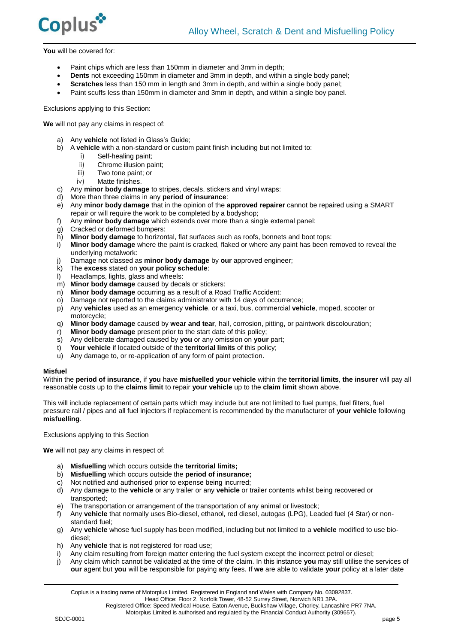

**You** will be covered for:

- Paint chips which are less than 150mm in diameter and 3mm in depth;
- **Dents** not exceeding 150mm in diameter and 3mm in depth, and within a single body panel;
- **Scratches** less than 150 mm in length and 3mm in depth, and within a single body panel;
- Paint scuffs less than 150mm in diameter and 3mm in depth, and within a single boy panel.

Exclusions applying to this Section:

**We** will not pay any claims in respect of:

- a) Any **vehicle** not listed in Glass's Guide;
- b) A **vehicle** with a non-standard or custom paint finish including but not limited to:
	- i) Self-healing paint;
		- ii) Chrome illusion paint;<br>iii) Two tone paint; or
		- Two tone paint; or
		- iv) Matte finishes.
- c) Any **minor body damage** to stripes, decals, stickers and vinyl wraps:
- d) More than three claims in any **period of insurance**:
- e) Any **minor body damage** that in the opinion of the **approved repairer** cannot be repaired using a SMART repair or will require the work to be completed by a bodyshop;
- f) Any **minor body damage** which extends over more than a single external panel:
- g) Cracked or deformed bumpers:
- h) **Minor body damage** to horizontal, flat surfaces such as roofs, bonnets and boot tops:
- i) **Minor body damage** where the paint is cracked, flaked or where any paint has been removed to reveal the underlying metalwork:
- j) Damage not classed as **minor body damage** by **our** approved engineer;
- k) The **excess** stated on **your policy schedule**:
- l) Headlamps, lights, glass and wheels:
- m) **Minor body damage** caused by decals or stickers:
- n) **Minor body damage** occurring as a result of a Road Traffic Accident:
- o) Damage not reported to the claims administrator with 14 days of occurrence;
- p) Any **vehicles** used as an emergency **vehicle**, or a taxi, bus, commercial **vehicle**, moped, scooter or motorcycle;
- q) **Minor body damage** caused by **wear and tear**, hail, corrosion, pitting, or paintwork discolouration;
- r) **Minor body damage** present prior to the start date of this policy;
- s) Any deliberate damaged caused by **you** or any omission on **your** part;
- t) **Your vehicle** if located outside of the **territorial limits** of this policy;
- u) Any damage to, or re-application of any form of paint protection.

# **Misfuel**

Within the **period of insurance**, if **you** have **misfuelled your vehicle** within the **territorial limits**, **the insurer** will pay all reasonable costs up to the **claims limit** to repair **your vehicle** up to the **claim limit** shown above.

This will include replacement of certain parts which may include but are not limited to fuel pumps, fuel filters, fuel pressure rail / pipes and all fuel injectors if replacement is recommended by the manufacturer of **your vehicle** following **misfuelling**.

Exclusions applying to this Section

**We** will not pay any claims in respect of:

- a) **Misfuelling** which occurs outside the **territorial limits;**
- b) **Misfuelling** which occurs outside the **period of insurance;**
- c) Not notified and authorised prior to expense being incurred;
- d) Any damage to the **vehicle** or any trailer or any **vehicle** or trailer contents whilst being recovered or transported;
- e) The transportation or arrangement of the transportation of any animal or livestock;
- f) Any **vehicle** that normally uses Bio-diesel, ethanol, red diesel, autogas (LPG), Leaded fuel (4 Star) or nonstandard fuel;
- g) Any **vehicle** whose fuel supply has been modified, including but not limited to a **vehicle** modified to use biodiesel;
- h) Any **vehicle** that is not registered for road use;
- i) Any claim resulting from foreign matter entering the fuel system except the incorrect petrol or diesel;
- j) Any claim which cannot be validated at the time of the claim. In this instance **you** may still utilise the services of **our** agent but **you** will be responsible for paying any fees. If **we** are able to validate **your** policy at a later date

Head Office: Floor 2, Norfolk Tower, 48-52 Surrey Street, Norwich NR1 3PA.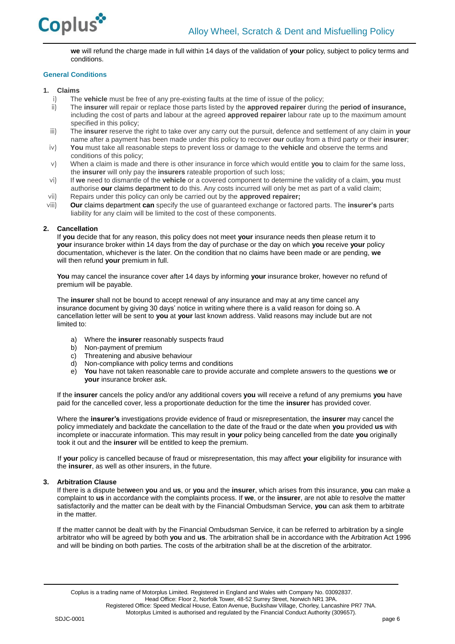

**we** will refund the charge made in full within 14 days of the validation of **your** policy, subject to policy terms and conditions.

# **General Conditions**

# **1. Claims**

- i) The **vehicle** must be free of any pre-existing faults at the time of issue of the policy;
- ii) The **insurer** will repair or replace those parts listed by the **approved repairer** during the **period of insurance,** including the cost of parts and labour at the agreed **approved repairer** labour rate up to the maximum amount specified in this policy;
- iii) The **insurer** reserve the right to take over any carry out the pursuit, defence and settlement of any claim in **your**  name after a payment has been made under this policy to recover **our** outlay from a third party or their **insurer**;
- iv) **You** must take all reasonable steps to prevent loss or damage to the **vehicle** and observe the terms and conditions of this policy;
- v) When a claim is made and there is other insurance in force which would entitle **you** to claim for the same loss, the **insurer** will only pay the **insurers** rateable proportion of such loss;
- vi) If **we** need to dismantle of the **vehicle** or a covered component to determine the validity of a claim, **you** must authorise **our** claims department to do this. Any costs incurred will only be met as part of a valid claim; vii) Repairs under this policy can only be carried out by the **approved repairer;**
- viii) **Our** claims department **can** specify the use of guaranteed exchange or factored parts. The **insurer's** parts liability for any claim will be limited to the cost of these components.

# **2. Cancellation**

If **you** decide that for any reason, this policy does not meet **your** insurance needs then please return it to **your** insurance broker within 14 days from the day of purchase or the day on which **you** receive **your** policy documentation, whichever is the later. On the condition that no claims have been made or are pending, **we** will then refund **your** premium in full.

**You** may cancel the insurance cover after 14 days by informing **your** insurance broker, however no refund of premium will be payable.

The **insurer** shall not be bound to accept renewal of any insurance and may at any time cancel any insurance document by giving 30 days' notice in writing where there is a valid reason for doing so. A cancellation letter will be sent to **you** at **your** last known address. Valid reasons may include but are not limited to:

- a) Where the **insurer** reasonably suspects fraud
- b) Non-payment of premium
- c) Threatening and abusive behaviour
- d) Non-compliance with policy terms and conditions
- e) **You** have not taken reasonable care to provide accurate and complete answers to the questions **we** or **your** insurance broker ask.

If the **insurer** cancels the policy and/or any additional covers **you** will receive a refund of any premiums **you** have paid for the cancelled cover, less a proportionate deduction for the time the **insurer** has provided cover.

Where the **insurer's** investigations provide evidence of fraud or misrepresentation, the **insurer** may cancel the policy immediately and backdate the cancellation to the date of the fraud or the date when **you** provided **us** with incomplete or inaccurate information. This may result in **your** policy being cancelled from the date **you** originally took it out and the **insurer** will be entitled to keep the premium.

If **your** policy is cancelled because of fraud or misrepresentation, this may affect **your** eligibility for insurance with the **insurer**, as well as other insurers, in the future.

# **3. Arbitration Clause**

If there is a dispute bet**we**en **you** and **us**, or **you** and the **insurer**, which arises from this insurance, **you** can make a complaint to **us** in accordance with the complaints process. If **we**, or the **insurer**, are not able to resolve the matter satisfactorily and the matter can be dealt with by the Financial Ombudsman Service, **you** can ask them to arbitrate in the matter.

If the matter cannot be dealt with by the Financial Ombudsman Service, it can be referred to arbitration by a single arbitrator who will be agreed by both **you** and **us**. The arbitration shall be in accordance with the Arbitration Act 1996 and will be binding on both parties. The costs of the arbitration shall be at the discretion of the arbitrator.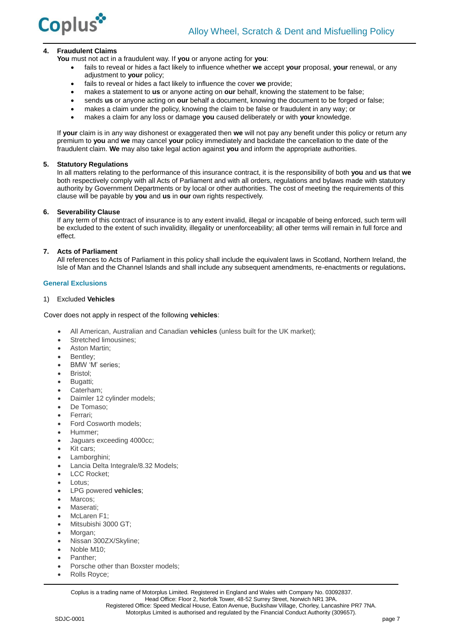

# **4. Fraudulent Claims**

**You** must not act in a fraudulent way. If **you** or anyone acting for **you**:

- fails to reveal or hides a fact likely to influence whether **we** accept **your** proposal, **your** renewal, or any adjustment to **your** policy;
- fails to reveal or hides a fact likely to influence the cover **we** provide;
- makes a statement to **us** or anyone acting on **our** behalf, knowing the statement to be false;
- sends **us** or anyone acting on **our** behalf a document, knowing the document to be forged or false;
- makes a claim under the policy, knowing the claim to be false or fraudulent in any way; or
- makes a claim for any loss or damage **you** caused deliberately or with **your** knowledge.

If **your** claim is in any way dishonest or exaggerated then **we** will not pay any benefit under this policy or return any premium to **you** and **we** may cancel **your** policy immediately and backdate the cancellation to the date of the fraudulent claim. **We** may also take legal action against **you** and inform the appropriate authorities.

# **5. Statutory Regulations**

In all matters relating to the performance of this insurance contract, it is the responsibility of both **you** and **us** that **we** both respectively comply with all Acts of Parliament and with all orders, regulations and bylaws made with statutory authority by Government Departments or by local or other authorities. The cost of meeting the requirements of this clause will be payable by **you** and **us** in **our** own rights respectively.

#### **6. Severability Clause**

If any term of this contract of insurance is to any extent invalid, illegal or incapable of being enforced, such term will be excluded to the extent of such invalidity, illegality or unenforceability; all other terms will remain in full force and effect.

# **7. Acts of Parliament**

All references to Acts of Parliament in this policy shall include the equivalent laws in Scotland, Northern Ireland, the Isle of Man and the Channel Islands and shall include any subsequent amendments, re-enactments or regulations**.**

#### **General Exclusions**

# 1) Excluded **Vehicles**

Cover does not apply in respect of the following **vehicles**:

- All American, Australian and Canadian **vehicles** (unless built for the UK market);
- Stretched limousines:
- Aston Martin:
- Bentley:
- BMW 'M' series:
- Bristol;
- Bugatti;
- Caterham;
- Daimler 12 cylinder models;
- De Tomaso;
- Ferrari;
- Ford Cosworth models;
- Hummer;
- Jaguars exceeding 4000cc;
- Kit cars;
- Lamborghini;
- Lancia Delta Integrale/8.32 Models;
- LCC Rocket;
- Lotus;
- LPG powered **vehicles**;
- Marcos;
- Maserati;
- McLaren F1;
- Mitsubishi 3000 GT;
- Morgan:
- Nissan 300ZX/Skyline:
- Noble M10;
- Panther;
- Porsche other than Boxster models;
- Rolls Royce;

Coplus is a trading name of Motorplus Limited. Registered in England and Wales with Company No. 03092837. Head Office: Floor 2, Norfolk Tower, 48-52 Surrey Street, Norwich NR1 3PA. Registered Office: Speed Medical House, Eaton Avenue, Buckshaw Village, Chorley, Lancashire PR7 7NA.

Motorplus Limited is authorised and regulated by the Financial Conduct Authority (309657).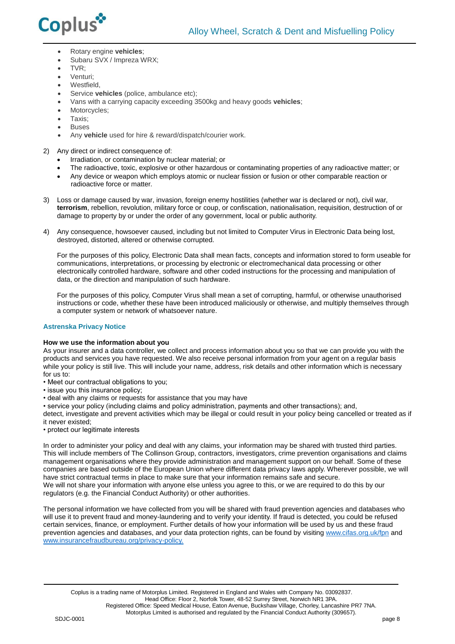

- Rotary engine **vehicles**;
- Subaru SVX / Impreza WRX;
- $\bullet$  TVR $\cdot$
- Venturi;
- Westfield.
- Service **vehicles** (police, ambulance etc);
- Vans with a carrying capacity exceeding 3500kg and heavy goods **vehicles**;
- Motorcycles;
- Taxis:
- Buses
- Any **vehicle** used for hire & reward/dispatch/courier work.

2) Any direct or indirect consequence of:

- Irradiation, or contamination by nuclear material; or
- The radioactive, toxic, explosive or other hazardous or contaminating properties of any radioactive matter; or
- Any device or weapon which employs atomic or nuclear fission or fusion or other comparable reaction or radioactive force or matter.
- 3) Loss or damage caused by war, invasion, foreign enemy hostilities (whether war is declared or not), civil war, **terrorism**, rebellion, revolution, military force or coup, or confiscation, nationalisation, requisition, destruction of or damage to property by or under the order of any government, local or public authority.
- 4) Any consequence, howsoever caused, including but not limited to Computer Virus in Electronic Data being lost, destroyed, distorted, altered or otherwise corrupted.

For the purposes of this policy, Electronic Data shall mean facts, concepts and information stored to form useable for communications, interpretations, or processing by electronic or electromechanical data processing or other electronically controlled hardware, software and other coded instructions for the processing and manipulation of data, or the direction and manipulation of such hardware.

For the purposes of this policy, Computer Virus shall mean a set of corrupting, harmful, or otherwise unauthorised instructions or code, whether these have been introduced maliciously or otherwise, and multiply themselves through a computer system or network of whatsoever nature.

# **Astrenska Privacy Notice**

# **How we use the information about you**

As your insurer and a data controller, we collect and process information about you so that we can provide you with the products and services you have requested. We also receive personal information from your agent on a regular basis while your policy is still live. This will include your name, address, risk details and other information which is necessary for us to:

- Meet our contractual obligations to you;
- issue you this insurance policy;
- deal with any claims or requests for assistance that you may have
- service your policy (including claims and policy administration, payments and other transactions); and,

detect, investigate and prevent activities which may be illegal or could result in your policy being cancelled or treated as if it never existed;

• protect our legitimate interests

In order to administer your policy and deal with any claims, your information may be shared with trusted third parties. This will include members of The Collinson Group, contractors, investigators, crime prevention organisations and claims management organisations where they provide administration and management support on our behalf. Some of these companies are based outside of the European Union where different data privacy laws apply. Wherever possible, we will have strict contractual terms in place to make sure that your information remains safe and secure. We will not share your information with anyone else unless you agree to this, or we are required to do this by our regulators (e.g. the Financial Conduct Authority) or other authorities.

The personal information we have collected from you will be shared with fraud prevention agencies and databases who will use it to prevent fraud and money-laundering and to verify your identity. If fraud is detected, you could be refused certain services, finance, or employment. Further details of how your information will be used by us and these fraud prevention agencies and databases, and your data protection rights, can be found by visitin[g www.cifas.org.uk/fpn](../../../../../Commercial/Ops%20forms%20&%20Check%20lists/Check%20lists/Templates/www.cifas.org.uk/fpn) and [www.insurancefraudbureau.org/privacy-policy.](http://www.insurancefraudbureau.org/privacy-policy)